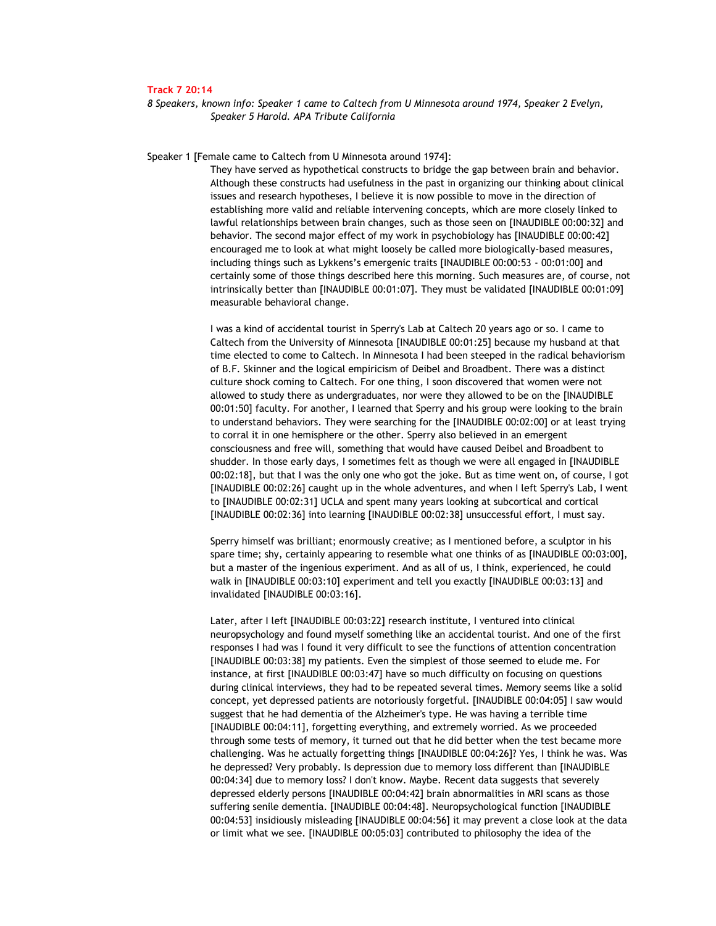## **Track 7 20:14**

*8 Speakers, known info: Speaker 1 came to Caltech from U Minnesota around 1974, Speaker 2 Evelyn, Speaker 5 Harold. APA Tribute California* 

Speaker 1 [Female came to Caltech from U Minnesota around 1974]:

They have served as hypothetical constructs to bridge the gap between brain and behavior. Although these constructs had usefulness in the past in organizing our thinking about clinical issues and research hypotheses, I believe it is now possible to move in the direction of establishing more valid and reliable intervening concepts, which are more closely linked to lawful relationships between brain changes, such as those seen on [INAUDIBLE 00:00:32] and behavior. The second major effect of my work in psychobiology has [INAUDIBLE 00:00:42] encouraged me to look at what might loosely be called more biologically-based measures, including things such as Lykkens's emergenic traits [INAUDIBLE 00:00:53 - 00:01:00] and certainly some of those things described here this morning. Such measures are, of course, not intrinsically better than [INAUDIBLE 00:01:07]. They must be validated [INAUDIBLE 00:01:09] measurable behavioral change.

I was a kind of accidental tourist in Sperry's Lab at Caltech 20 years ago or so. I came to Caltech from the University of Minnesota [INAUDIBLE 00:01:25] because my husband at that time elected to come to Caltech. In Minnesota I had been steeped in the radical behaviorism of B.F. Skinner and the logical empiricism of Deibel and Broadbent. There was a distinct culture shock coming to Caltech. For one thing, I soon discovered that women were not allowed to study there as undergraduates, nor were they allowed to be on the [INAUDIBLE 00:01:50] faculty. For another, I learned that Sperry and his group were looking to the brain to understand behaviors. They were searching for the [INAUDIBLE 00:02:00] or at least trying to corral it in one hemisphere or the other. Sperry also believed in an emergent consciousness and free will, something that would have caused Deibel and Broadbent to shudder. In those early days, I sometimes felt as though we were all engaged in [INAUDIBLE 00:02:18], but that I was the only one who got the joke. But as time went on, of course, I got [INAUDIBLE 00:02:26] caught up in the whole adventures, and when I left Sperry's Lab, I went to [INAUDIBLE 00:02:31] UCLA and spent many years looking at subcortical and cortical [INAUDIBLE 00:02:36] into learning [INAUDIBLE 00:02:38] unsuccessful effort, I must say.

Sperry himself was brilliant; enormously creative; as I mentioned before, a sculptor in his spare time; shy, certainly appearing to resemble what one thinks of as [INAUDIBLE 00:03:00], but a master of the ingenious experiment. And as all of us, I think, experienced, he could walk in [INAUDIBLE 00:03:10] experiment and tell you exactly [INAUDIBLE 00:03:13] and invalidated [INAUDIBLE 00:03:16].

Later, after I left [INAUDIBLE 00:03:22] research institute, I ventured into clinical neuropsychology and found myself something like an accidental tourist. And one of the first responses I had was I found it very difficult to see the functions of attention concentration [INAUDIBLE 00:03:38] my patients. Even the simplest of those seemed to elude me. For instance, at first [INAUDIBLE 00:03:47] have so much difficulty on focusing on questions during clinical interviews, they had to be repeated several times. Memory seems like a solid concept, yet depressed patients are notoriously forgetful. [INAUDIBLE 00:04:05] I saw would suggest that he had dementia of the Alzheimer's type. He was having a terrible time [INAUDIBLE 00:04:11], forgetting everything, and extremely worried. As we proceeded through some tests of memory, it turned out that he did better when the test became more challenging. Was he actually forgetting things [INAUDIBLE 00:04:26]? Yes, I think he was. Was he depressed? Very probably. Is depression due to memory loss different than [INAUDIBLE 00:04:34] due to memory loss? I don't know. Maybe. Recent data suggests that severely depressed elderly persons [INAUDIBLE 00:04:42] brain abnormalities in MRI scans as those suffering senile dementia. [INAUDIBLE 00:04:48]. Neuropsychological function [INAUDIBLE 00:04:53] insidiously misleading [INAUDIBLE 00:04:56] it may prevent a close look at the data or limit what we see. [INAUDIBLE 00:05:03] contributed to philosophy the idea of the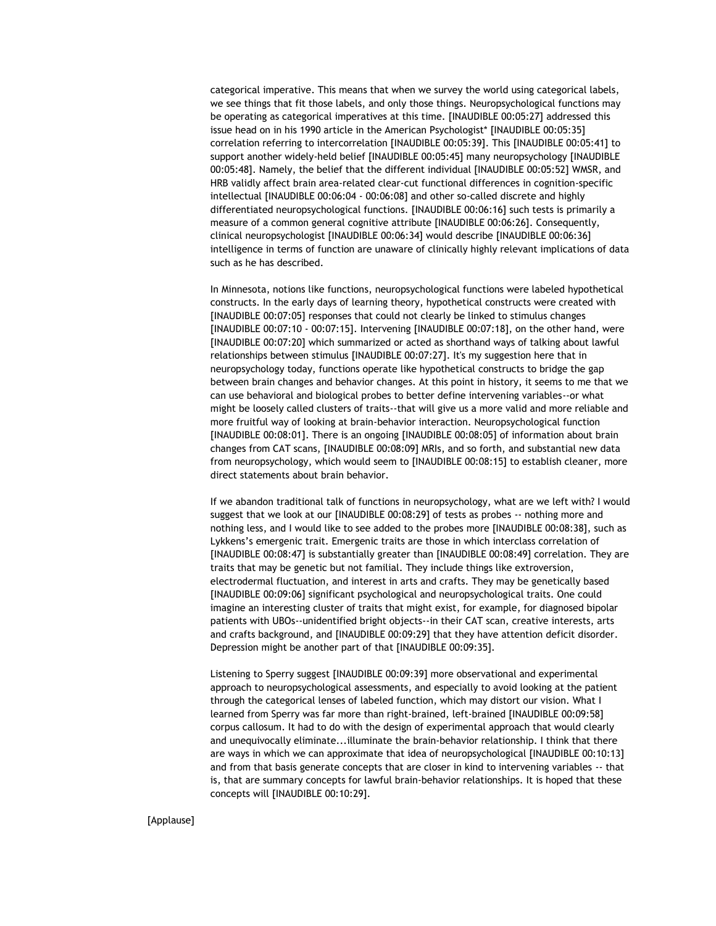categorical imperative. This means that when we survey the world using categorical labels, we see things that fit those labels, and only those things. Neuropsychological functions may be operating as categorical imperatives at this time. [INAUDIBLE 00:05:27] addressed this issue head on in his 1990 article in the American Psychologist\* [INAUDIBLE 00:05:35] correlation referring to intercorrelation [INAUDIBLE 00:05:39]. This [INAUDIBLE 00:05:41] to support another widely-held belief [INAUDIBLE 00:05:45] many neuropsychology [INAUDIBLE 00:05:48]. Namely, the belief that the different individual [INAUDIBLE 00:05:52] WMSR, and HRB validly affect brain area-related clear-cut functional differences in cognition-specific intellectual [INAUDIBLE 00:06:04 - 00:06:08] and other so-called discrete and highly differentiated neuropsychological functions. [INAUDIBLE 00:06:16] such tests is primarily a measure of a common general cognitive attribute [INAUDIBLE 00:06:26]. Consequently, clinical neuropsychologist [INAUDIBLE 00:06:34] would describe [INAUDIBLE 00:06:36] intelligence in terms of function are unaware of clinically highly relevant implications of data such as he has described.

In Minnesota, notions like functions, neuropsychological functions were labeled hypothetical constructs. In the early days of learning theory, hypothetical constructs were created with [INAUDIBLE 00:07:05] responses that could not clearly be linked to stimulus changes [INAUDIBLE 00:07:10 - 00:07:15]. Intervening [INAUDIBLE 00:07:18], on the other hand, were [INAUDIBLE 00:07:20] which summarized or acted as shorthand ways of talking about lawful relationships between stimulus [INAUDIBLE 00:07:27]. It's my suggestion here that in neuropsychology today, functions operate like hypothetical constructs to bridge the gap between brain changes and behavior changes. At this point in history, it seems to me that we can use behavioral and biological probes to better define intervening variables--or what might be loosely called clusters of traits--that will give us a more valid and more reliable and more fruitful way of looking at brain-behavior interaction. Neuropsychological function [INAUDIBLE 00:08:01]. There is an ongoing [INAUDIBLE 00:08:05] of information about brain changes from CAT scans, [INAUDIBLE 00:08:09] MRIs, and so forth, and substantial new data from neuropsychology, which would seem to [INAUDIBLE 00:08:15] to establish cleaner, more direct statements about brain behavior.

If we abandon traditional talk of functions in neuropsychology, what are we left with? I would suggest that we look at our [INAUDIBLE 00:08:29] of tests as probes -- nothing more and nothing less, and I would like to see added to the probes more [INAUDIBLE 00:08:38], such as Lykkens's emergenic trait. Emergenic traits are those in which interclass correlation of [INAUDIBLE 00:08:47] is substantially greater than [INAUDIBLE 00:08:49] correlation. They are traits that may be genetic but not familial. They include things like extroversion, electrodermal fluctuation, and interest in arts and crafts. They may be genetically based [INAUDIBLE 00:09:06] significant psychological and neuropsychological traits. One could imagine an interesting cluster of traits that might exist, for example, for diagnosed bipolar patients with UBOs--unidentified bright objects--in their CAT scan, creative interests, arts and crafts background, and [INAUDIBLE 00:09:29] that they have attention deficit disorder. Depression might be another part of that [INAUDIBLE 00:09:35].

Listening to Sperry suggest [INAUDIBLE 00:09:39] more observational and experimental approach to neuropsychological assessments, and especially to avoid looking at the patient through the categorical lenses of labeled function, which may distort our vision. What I learned from Sperry was far more than right-brained, left-brained [INAUDIBLE 00:09:58] corpus callosum. It had to do with the design of experimental approach that would clearly and unequivocally eliminate...illuminate the brain-behavior relationship. I think that there are ways in which we can approximate that idea of neuropsychological [INAUDIBLE 00:10:13] and from that basis generate concepts that are closer in kind to intervening variables -- that is, that are summary concepts for lawful brain-behavior relationships. It is hoped that these concepts will [INAUDIBLE 00:10:29].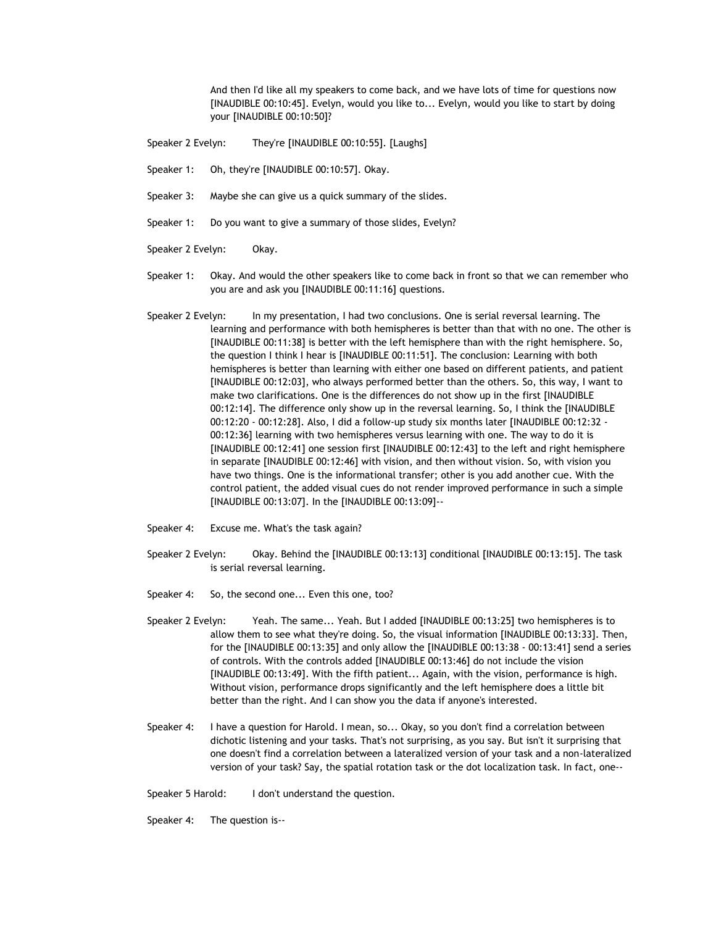And then I'd like all my speakers to come back, and we have lots of time for questions now [INAUDIBLE 00:10:45]. Evelyn, would you like to... Evelyn, would you like to start by doing your [INAUDIBLE 00:10:50]?

- Speaker 2 Evelyn: They're [INAUDIBLE 00:10:55]. [Laughs]
- Speaker 1: Oh, they're [INAUDIBLE 00:10:57]. Okay.
- Speaker 3: Maybe she can give us a quick summary of the slides.
- Speaker 1: Do you want to give a summary of those slides, Evelyn?
- Speaker 2 Evelyn: Okay.
- Speaker 1: Okay. And would the other speakers like to come back in front so that we can remember who you are and ask you [INAUDIBLE 00:11:16] questions.
- Speaker 2 Evelyn: In my presentation, I had two conclusions. One is serial reversal learning. The learning and performance with both hemispheres is better than that with no one. The other is [INAUDIBLE 00:11:38] is better with the left hemisphere than with the right hemisphere. So, the question I think I hear is [INAUDIBLE 00:11:51]. The conclusion: Learning with both hemispheres is better than learning with either one based on different patients, and patient [INAUDIBLE 00:12:03], who always performed better than the others. So, this way, I want to make two clarifications. One is the differences do not show up in the first [INAUDIBLE 00:12:14]. The difference only show up in the reversal learning. So, I think the [INAUDIBLE 00:12:20 - 00:12:28]. Also, I did a follow-up study six months later [INAUDIBLE 00:12:32 - 00:12:36] learning with two hemispheres versus learning with one. The way to do it is [INAUDIBLE 00:12:41] one session first [INAUDIBLE 00:12:43] to the left and right hemisphere in separate [INAUDIBLE 00:12:46] with vision, and then without vision. So, with vision you have two things. One is the informational transfer; other is you add another cue. With the control patient, the added visual cues do not render improved performance in such a simple [INAUDIBLE 00:13:07]. In the [INAUDIBLE 00:13:09]--
- Speaker 4: Excuse me. What's the task again?
- Speaker 2 Evelyn: Okay. Behind the [INAUDIBLE 00:13:13] conditional [INAUDIBLE 00:13:15]. The task is serial reversal learning.
- Speaker 4: So, the second one... Even this one, too?
- Speaker 2 Evelyn: Yeah. The same... Yeah. But I added [INAUDIBLE 00:13:25] two hemispheres is to allow them to see what they're doing. So, the visual information [INAUDIBLE 00:13:33]. Then, for the [INAUDIBLE 00:13:35] and only allow the [INAUDIBLE 00:13:38 - 00:13:41] send a series of controls. With the controls added [INAUDIBLE 00:13:46] do not include the vision [INAUDIBLE 00:13:49]. With the fifth patient... Again, with the vision, performance is high. Without vision, performance drops significantly and the left hemisphere does a little bit better than the right. And I can show you the data if anyone's interested.
- Speaker 4: I have a question for Harold. I mean, so... Okay, so you don't find a correlation between dichotic listening and your tasks. That's not surprising, as you say. But isn't it surprising that one doesn't find a correlation between a lateralized version of your task and a non-lateralized version of your task? Say, the spatial rotation task or the dot localization task. In fact, one--

Speaker 5 Harold: I don't understand the question.

Speaker 4: The question is--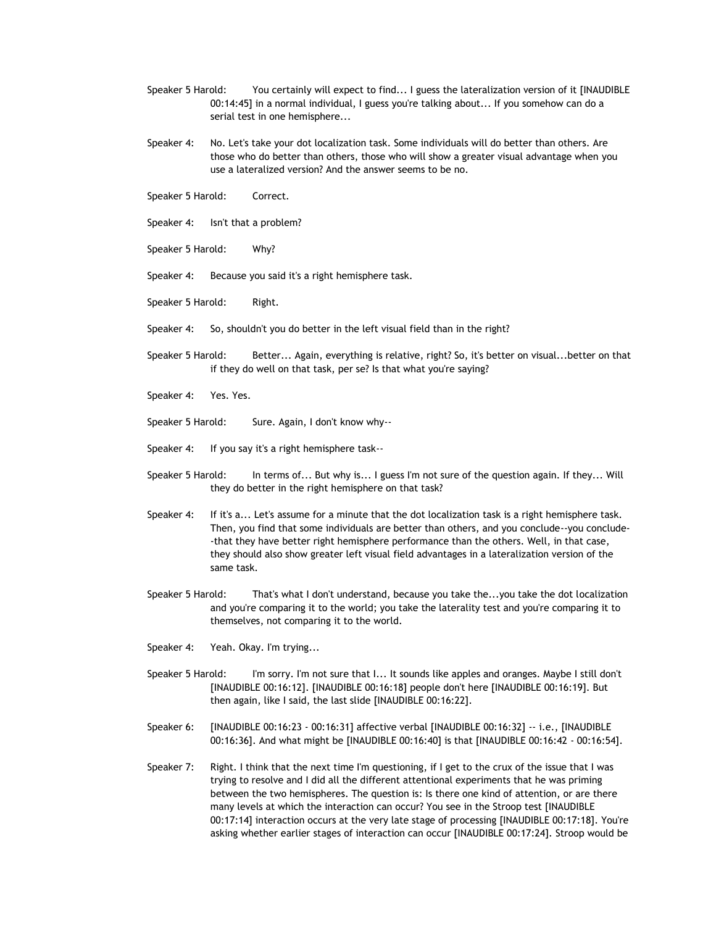- Speaker 5 Harold: You certainly will expect to find... I guess the lateralization version of it [INAUDIBLE 00:14:45] in a normal individual, I guess you're talking about... If you somehow can do a serial test in one hemisphere...
- Speaker 4: No. Let's take your dot localization task. Some individuals will do better than others. Are those who do better than others, those who will show a greater visual advantage when you use a lateralized version? And the answer seems to be no.
- Speaker 5 Harold: Correct.
- Speaker 4: Isn't that a problem?
- Speaker 5 Harold: Why?
- Speaker 4: Because you said it's a right hemisphere task.
- Speaker 5 Harold: Right.
- Speaker 4: So, shouldn't you do better in the left visual field than in the right?
- Speaker 5 Harold: Better... Again, everything is relative, right? So, it's better on visual...better on that if they do well on that task, per se? Is that what you're saying?
- Speaker 4: Yes. Yes.
- Speaker 5 Harold: Sure. Again, I don't know why--
- Speaker 4: If you say it's a right hemisphere task--
- Speaker 5 Harold: In terms of... But why is... I guess I'm not sure of the question again. If they... Will they do better in the right hemisphere on that task?
- Speaker 4: If it's a... Let's assume for a minute that the dot localization task is a right hemisphere task. Then, you find that some individuals are better than others, and you conclude--you conclude- -that they have better right hemisphere performance than the others. Well, in that case, they should also show greater left visual field advantages in a lateralization version of the same task.
- Speaker 5 Harold: That's what I don't understand, because you take the...you take the dot localization and you're comparing it to the world; you take the laterality test and you're comparing it to themselves, not comparing it to the world.
- Speaker 4: Yeah. Okay. I'm trying...
- Speaker 5 Harold: I'm sorry. I'm not sure that I... It sounds like apples and oranges. Maybe I still don't [INAUDIBLE 00:16:12]. [INAUDIBLE 00:16:18] people don't here [INAUDIBLE 00:16:19]. But then again, like I said, the last slide [INAUDIBLE 00:16:22].
- Speaker 6: [INAUDIBLE 00:16:23 00:16:31] affective verbal [INAUDIBLE 00:16:32] -- i.e., [INAUDIBLE 00:16:36]. And what might be [INAUDIBLE 00:16:40] is that [INAUDIBLE 00:16:42 - 00:16:54].
- Speaker 7: Right. I think that the next time I'm questioning, if I get to the crux of the issue that I was trying to resolve and I did all the different attentional experiments that he was priming between the two hemispheres. The question is: Is there one kind of attention, or are there many levels at which the interaction can occur? You see in the Stroop test [INAUDIBLE 00:17:14] interaction occurs at the very late stage of processing [INAUDIBLE 00:17:18]. You're asking whether earlier stages of interaction can occur [INAUDIBLE 00:17:24]. Stroop would be